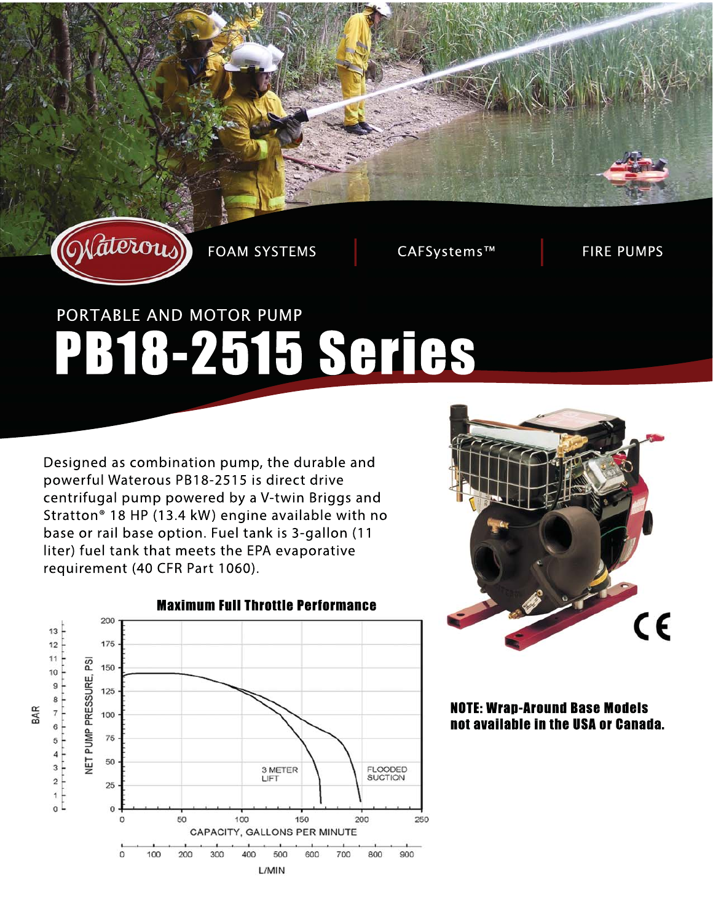

**FOAM SYSTEMS** 

CAFSystems™

**FIRE PUMPS** 

# PORTABLE AND MOTOR PUMP PB18-2515 Series

Designed as combination pump, the durable and powerful Waterous PB18-2515 is direct drive centrifugal pump powered by a V-twin Briggs and Stratton<sup>®</sup> 18 HP (13.4 kW) engine available with no base or rail base option. Fuel tank is 3-gallon (11 liter) fuel tank that meets the EPA evaporative requirement (40 CFR Part 1060).





**NOTE: Wran-Around Base Models** not available in the USA or Canada.